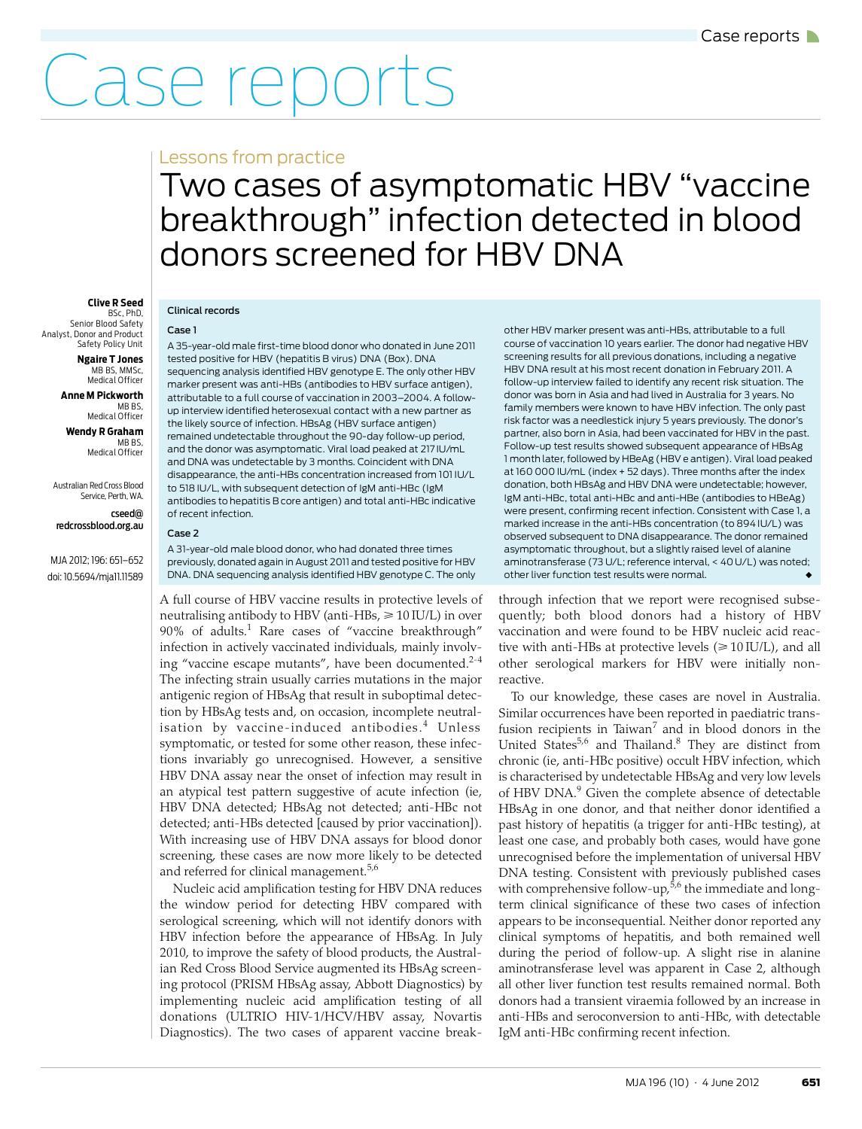# Case reports

### Lessons from practice

## <span id="page-0-0"></span>Two cases of asymptomatic HBV "vaccine breakthrough" infection detected in blood donors screened for HBV DNA

#### **Clive R Seed** BSc, PhD,

Senior Blood Safety Analyst, Donor and Product Safety Policy Unit

**Ngaire T Jones** MB BS, MMSc, Medical Officer

**Anne M Pickworth** MB BS, Medical Officer

**Wendy R Graham** MB BS, Medical Officer

Australian Red Cross Blood Service, Perth, WA.

cseed@ redcrossblood.org.au

MJA 2012; 196: [651–](#page-0-0)[652](#page-1-7) doi: 10.5694/mja11.11589

#### Clinical records

Case 1

A 35-year-old male first-time blood donor who donated in June 2011 tested positive for HBV (hepatitis B virus) DNA (Box). DNA sequencing analysis identified HBV genotype E. The only other HBV marker present was anti-HBs (antibodies to HBV surface antigen), attributable to a full course of vaccination in 2003–2004. A followup interview identified heterosexual contact with a new partner as the likely source of infection. HBsAg (HBV surface antigen) remained undetectable throughout the 90-day follow-up period, and the donor was asymptomatic. Viral load peaked at 217 IU/mL and DNA was undetectable by 3 months. Coincident with DNA disappearance, the anti-HBs concentration increased from 101 IU/L to 518 IU/L, with subsequent detection of IgM anti-HBc (IgM antibodies to hepatitis B core antigen) and total anti-HBc indicative of recent infection.

Case 2

A 31-year-old male blood donor, who had donated three times previously, donated again in August 2011 and tested positive for HBV DNA. DNA sequencing analysis identified HBV genotype C. The only

A full course of HBV vaccine results in protective levels of neutralising antibody to HBV (anti-HBs,  $\geqslant 10\,{\rm I}\text{U/L}$ ) in over 90% of adults.<sup>1</sup> Rare cases of "vaccine breakthrough" infection in actively vaccinated individuals, mainly involving "vaccine escape mutants", have been documented. $2-4$  $2-4$ The infecting strain usually carries mutations in the major antigenic region of HBsAg that result in suboptimal detection by HBsAg tests and, on occasion, incomplete neutral-isation by vaccine-induced antibodies.<sup>[4](#page-1-1)</sup> Unless symptomatic, or tested for some other reason, these infections invariably go unrecognised. However, a sensitive HBV DNA assay near the onset of infection may result in an atypical test pattern suggestive of acute infection (ie, HBV DNA detected; HBsAg not detected; anti-HBc not detected; anti-HBs detected [caused by prior vaccination]). With increasing use of HBV DNA assays for blood donor screening, these cases are now more likely to be detected and referred for clinical management.<sup>[5](#page-1-2)[,6](#page-1-3)</sup>

serological screening, which will not identify donors with HBV infectio[n be](#page-1-7)fore the appearance of HBsAg. In July 2010, to improve the safety of blood products, the Australwhere  $\frac{m}{\hbar}$  $\mid$  ing protocol (PRISM HBsAg assay, Abbott Diagnostics) by Nucleic acid amplification testing for HBV DNA reduces the window period for detecting HBV compared with ian Red Cross Blood Service augmented its HBsAg screenimplementing nucleic acid amplification testing of all donations (ULTRIO HIV-1/HCV/HBV assay, Novartis Diagnostics). The two cases of apparent vaccine breakother HBV marker present was anti-HBs, attributable to a full course of vaccination 10 years earlier. The donor had negative HBV screening results for all previous donations, including a negative HBV DNA result at his most recent donation in February 2011. A follow-up interview failed to identify any recent risk situation. The donor was born in Asia and had lived in Australia for 3 years. No family members were known to have HBV infection. The only past risk factor was a needlestick injury 5 years previously. The donor's partner, also born in Asia, had been vaccinated for HBV in the past. Follow-up test results showed subsequent appearance of HBsAg 1 month later, followed by HBeAg (HBV e antigen). Viral load peaked at 160 000 IU/mL (index + 52 days). Three months after the index donation, both HBsAg and HBV DNA were undetectable; however, IgM anti-HBc, total anti-HBc and anti-HBe (antibodies to HBeAg) were present, confirming recent infection. Consistent with Case 1, a marked increase in the anti-HBs concentration (to 894 IU/L) was observed subsequent to DNA disappearance. The donor remained asymptomatic throughout, but a slightly raised level of alanine aminotransferase (73 U/L; reference interval,  $\leq 401$  U/L) was noted; other liver function test results were normal.

through infection that we report were recognised subsequently; both blood donors had a history of HBV vaccination and were found to be HBV nucleic acid reactive with anti-HBs at protective levels  $(\geq 10)$  IU/L), and all other serological markers for HBV were initially nonreactive.

To our knowledge, these cases are novel in Australia. Similar occurrences have been reported in paediatric transfusion recipients in Taiwan $^7$  $^7$  and in blood donors in the United States<sup>[5](#page-1-2),6</sup> and Thailand.<sup>8</sup> They are distinct from chronic (ie, anti-HBc positive) occult HBV infection, which is characterised by undetectable HBsAg and very low levels of HBV DNA.<sup>9</sup> Given the complete absence of detectable HBsAg in one donor, and that neither donor identified a past history of hepatitis (a trigger for anti-HBc testing), at least one case, and probably both cases, would have gone unrecognised before the implementation of universal HBV DNA testing. Consistent with previously published cases with comprehensive follow-up, $5,6$  $5,6$  the immediate and longterm clinical significance of these two cases of infection appears to be inconsequential. Neither donor reported any clinical symptoms of hepatitis, and both remained well during the period of follow-up. A slight rise in alanine aminotransferase level was apparent in Case 2, although all other liver function test results remained normal. Both donors had a transient viraemia followed by an increase in anti-HBs and seroconversion to anti-HBc, with detectable IgM anti-HBc confirming recent infection.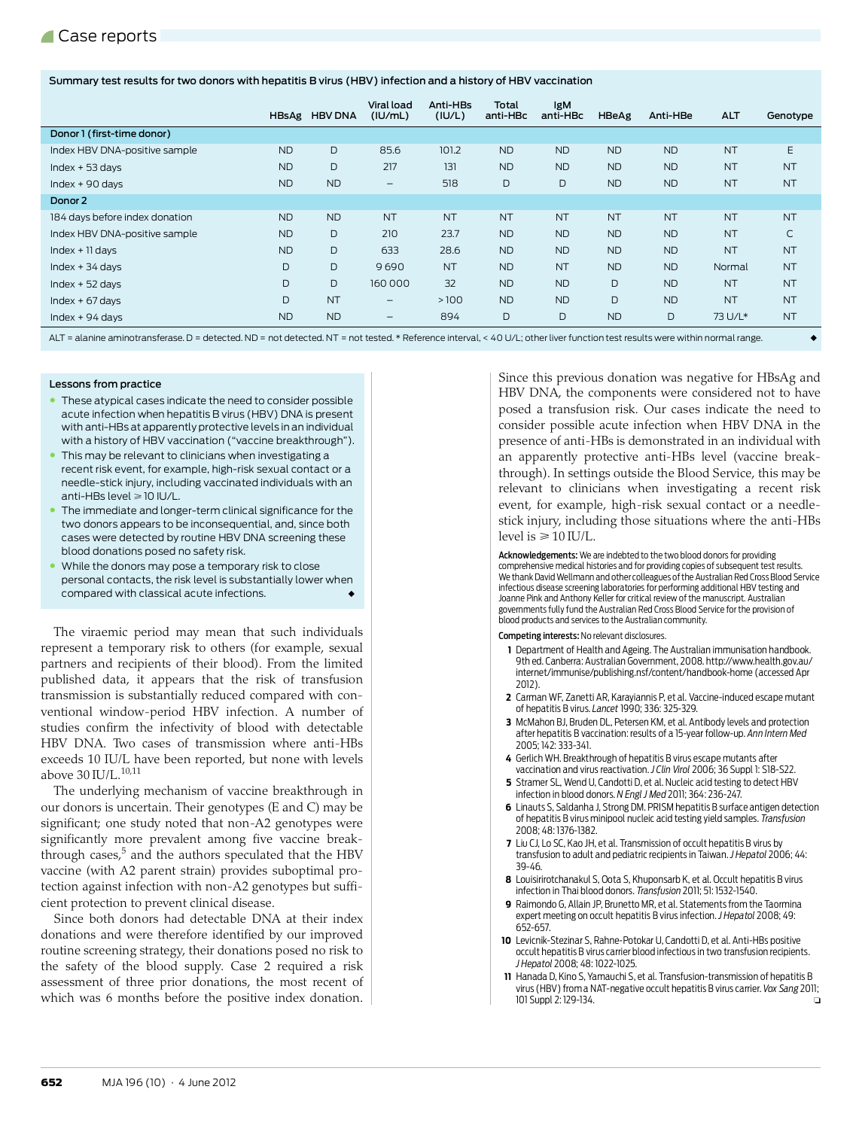#### Summary test results for two donors with hepatitis B virus (HBV) infection and a history of HBV vaccination

|                                |           | HBsAg HBV DNA | Viral load<br>(IU/ml)        | Anti-HBs<br>(IU/L) | Total<br>anti-HBc | <b>IgM</b><br>anti-HBc | HBeAg     | Anti-HBe  | <b>ALT</b> | Genotype     |
|--------------------------------|-----------|---------------|------------------------------|--------------------|-------------------|------------------------|-----------|-----------|------------|--------------|
| Donor 1 (first-time donor)     |           |               |                              |                    |                   |                        |           |           |            |              |
| Index HBV DNA-positive sample  | <b>ND</b> | D             | 85.6                         | 101.2              | <b>ND</b>         | <b>ND</b>              | <b>ND</b> | <b>ND</b> | <b>NT</b>  | E            |
| $Index + 53 days$              | <b>ND</b> | D             | 217                          | 131                | <b>ND</b>         | <b>ND</b>              | <b>ND</b> | <b>ND</b> | <b>NT</b>  | <b>NT</b>    |
| Index $+90$ days               | <b>ND</b> | <b>ND</b>     | $\qquad \qquad \blacksquare$ | 518                | D                 | D                      | <b>ND</b> | <b>ND</b> | <b>NT</b>  | <b>NT</b>    |
| Donor 2                        |           |               |                              |                    |                   |                        |           |           |            |              |
| 184 days before index donation | <b>ND</b> | <b>ND</b>     | <b>NT</b>                    | <b>NT</b>          | <b>NT</b>         | <b>NT</b>              | <b>NT</b> | <b>NT</b> | <b>NT</b>  | <b>NT</b>    |
| Index HBV DNA-positive sample  | <b>ND</b> | D             | 210                          | 23.7               | <b>ND</b>         | <b>ND</b>              | <b>ND</b> | <b>ND</b> | <b>NT</b>  | $\mathsf{C}$ |
| $Index + 11 days$              | <b>ND</b> | D             | 633                          | 28.6               | <b>ND</b>         | <b>ND</b>              | <b>ND</b> | <b>ND</b> | <b>NT</b>  | <b>NT</b>    |
| $Index + 34 days$              | D         | D             | 9690                         | <b>NT</b>          | <b>ND</b>         | <b>NT</b>              | <b>ND</b> | <b>ND</b> | Normal     | <b>NT</b>    |
| $Index + 52 days$              | D         | D             | 160 000                      | 32                 | <b>ND</b>         | <b>ND</b>              | D         | <b>ND</b> | <b>NT</b>  | <b>NT</b>    |
| $Index + 67 days$              | D         | <b>NT</b>     | $\qquad \qquad -$            | >100               | <b>ND</b>         | <b>ND</b>              | D         | <b>ND</b> | <b>NT</b>  | <b>NT</b>    |
| Index $+94$ days               | <b>ND</b> | <b>ND</b>     | $\qquad \qquad \blacksquare$ | 894                | D                 | D                      | <b>ND</b> | D         | 73 U/L*    | <b>NT</b>    |

ALT = alanine aminotransferase. D = detected. ND = not detected. NT = not tested. \* Reference interval, < 40 U/L; other liver function test results were within normal range. ◆

#### Lessons from practice

- These atypical cases indicate the need to consider possible acute infection when hepatitis B virus (HBV) DNA is present with anti-HBs at apparently protective levels in an individual with a history of HBV vaccination ("vaccine breakthrough").
- This may be relevant to clinicians when investigating a recent risk event, for example, high-risk sexual contact or a needle-stick injury, including vaccinated individuals with an anti-HBs level ≥ 10 IU/L.
- The immediate and longer-term clinical significance for the two donors appears to be inconsequential, and, since both cases were detected by routine HBV DNA screening these blood donations posed no safety risk.
- While the donors may pose a temporary risk to close personal contacts, the risk level is substantially lower when compared with classical acute infections.

The viraemic period may mean that such individuals represent a temporary risk to others (for example, sexual partners and recipients of their blood). From the limited published data, it appears that the risk of transfusion transmission is substantially reduced compared with conventional window-period HBV infection. A number of studies confirm the infectivity of blood with detectable HBV DNA. Two cases of transmission where anti-HBs exceeds 10 IU/L have been reported, but none with levels above  $30$  IU/L.  $^{\rm 10,11}$  $^{\rm 10,11}$  $^{\rm 10,11}$  $^{\rm 10,11}$ 

The underlying mechanism of vaccine breakthrough in our donors is uncertain. Their genotypes (E and C) may be significant; one study noted that non-A2 genotypes were significantly more prevalent among five vaccine breakthrough cases,<sup>5</sup> and the authors speculated that the HBV vaccine (with A2 parent strain) provides suboptimal protection against infection with non-A2 genotypes but sufficient protection to prevent clinical disease.

Since both donors had detectable DNA at their index donations and were therefore identified by our improved routine screening strategy, their donations posed no risk to the safety of the blood supply. Case 2 required a risk assessment of three prior donations, the most recent of which was 6 months before the positive index donation.

Since this previous donation was negative for HBsAg and HBV DNA, the components were considered not to have posed a transfusion risk. Our cases indicate the need to consider possible acute infection when HBV DNA in the presence of anti-HBs is demonstrated in an individual with an apparently protective anti-HBs level (vaccine breakthrough). In settings outside the Blood Service, this may be relevant to clinicians when investigating a recent risk event, for example, high-risk sexual contact or a needlestick injury, including those situations where the anti-HBs level is  $\geq 10$  IU/L.

Acknowledgements: We are indebted to the two blood donors for providing comprehensive medical histories and for providing copies of subsequent test results. We thank David Wellmann and other colleagues of the Australian Red Cross Blood Service infectious disease screening laboratories for performing additional HBV testing and Joanne Pink and Anthony Keller for critical review of the manuscript. Australian governments fully fund the Australian Red Cross Blood Service for the provision of blood products and services to the Australian community.

Competing interests: No relevant disclosures.

- **1** [Department of Health and Ageing. The Australian immunisation handbook.](http://www.health.gov.au/internet/immunise/publishing.nsf/content/handbook-home)  9th ed. Canberra: Australian Government, 2008. http://www.health.gov.au/ [internet/immunise/publishing.nsf/content/handbook-home \(accessed Apr](http://www.health.gov.au/internet/immunise/publishing.nsf/content/handbook-home)  2012).
- <span id="page-1-0"></span>**2** Carman WF, Zanetti AR, Karayiannis P, et al. Vaccine-induced escape mutant of hepatitis B virus. *Lancet* 1990; 336: 325-329.
- **3** McMahon BJ, Bruden DL, Petersen KM, et al. Antibody levels and protection after hepatitis B vaccination: results of a 15-year follow-up. *Ann Intern Med* 2005; 142: 333-341.
- <span id="page-1-1"></span>**4** Gerlich WH. Breakthrough of hepatitis B virus escape mutants after vaccination and virus reactivation. *J Clin Virol* 2006; 36 Suppl 1: S18-S22.
- <span id="page-1-2"></span>**5** Stramer SL, Wend U, Candotti D, et al. Nucleic acid testing to detect HBV infection in blood donors. *N Engl J Med* 2011; 364: 236-247.
- <span id="page-1-3"></span>**6** Linauts S, Saldanha J, Strong DM. PRISM hepatitis B surface antigen detection of hepatitis B virus minipool nucleic acid testing yield samples. *Transfusion* 2008; 48: 1376-1382.
- <span id="page-1-4"></span>**7** Liu CJ, Lo SC, Kao JH, et al. Transmission of occult hepatitis B virus by transfusion to adult and pediatric recipients in Taiwan. *J Hepatol* 2006; 44: 39-46.
- <span id="page-1-5"></span>**8** Louisirirotchanakul S, Oota S, Khuponsarb K, et al. Occult hepatitis B virus infection in Thai blood donors. *Transfusion* 2011; 51: 1532-1540.
- <span id="page-1-6"></span>**9** Raimondo G, Allain JP, Brunetto MR, et al. Statements from the Taormina expert meeting on occult hepatitis B virus infection. *J Hepatol* 2008; 49: 652-657.
- <span id="page-1-8"></span>**10** Levicnik-Stezinar S, Rahne-Potokar U, Candotti D, et al. Anti-HBs positive occult hepatitis B virus carrier blood infectious in two transfusion recipients. *J Hepatol* 2008; 48: 1022-1025.
- <span id="page-1-7"></span>**11** Hanada D, Kino S, Yamauchi S, et al. Transfusion-transmission of hepatitis B virus (HBV) from a NAT-negative occult hepatitis B virus carrier. *Vox Sang* 2011; 101 Suppl 2: 129-134.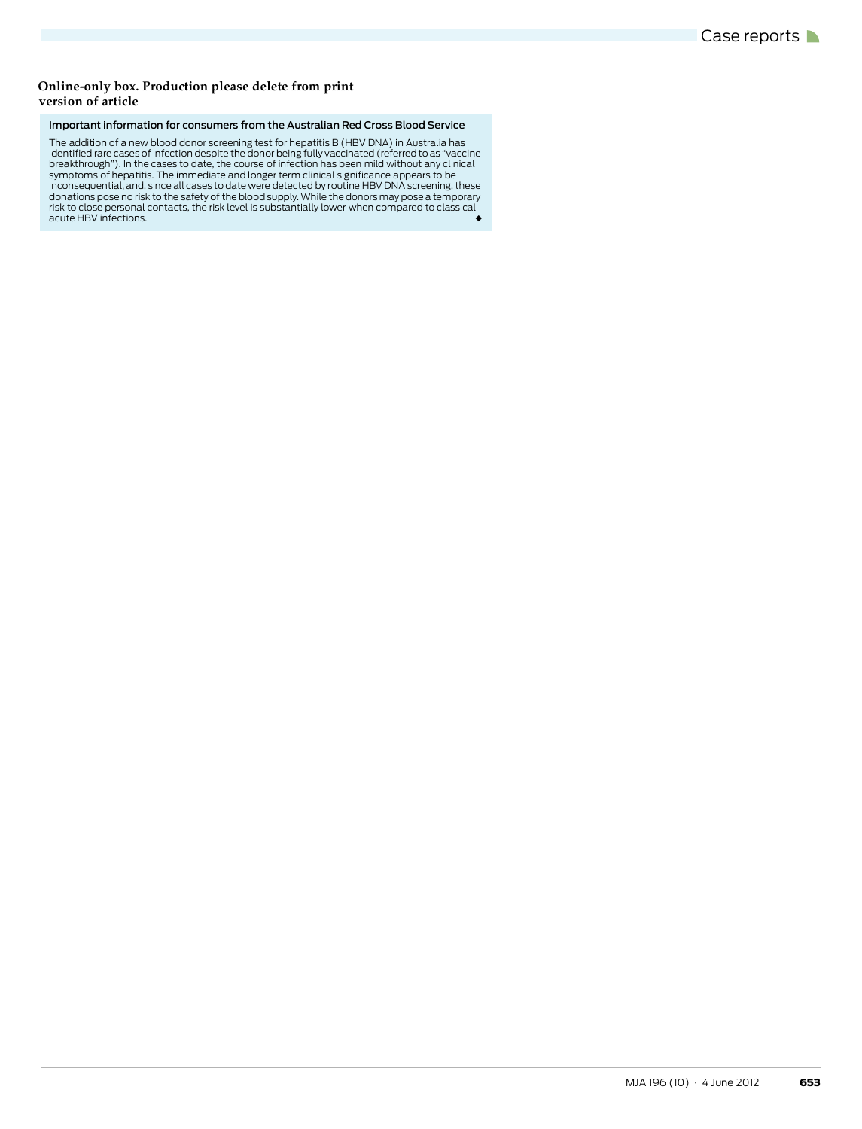#### **version of article Online-only box. Production please delete from print**

#### Important information for consumers from the Australian Red Cross Blood Service

The addition of a new blood donor screening test for hepatitis B (HBV DNA) in Australia has identified rare cases of infection despite the donor being fully vaccinated (referred to as "vaccine breakthrough"). In the cases to date, the course of infection has been mild without any clinical<br>symptoms of hepatitis. The immediate and longer term clinical significance appears to be<br>inconsequential, and, since all case